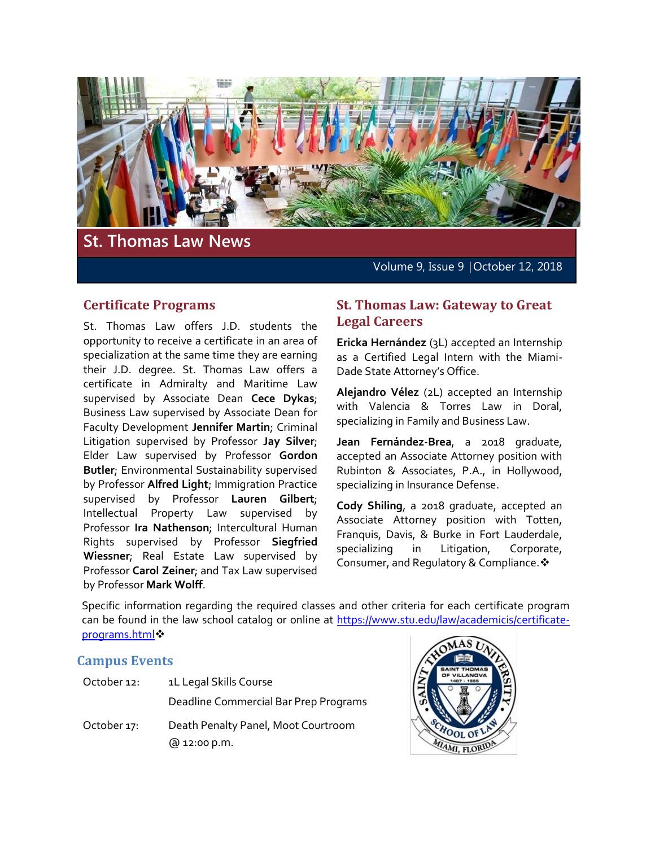

# **St. Thomas Law News**

Volume 9, Issue 9 | October 12, 2018

#### **Certificate Programs**

St. Thomas Law offers J.D. students the opportunity to receive a certificate in an area of specialization at the same time they are earning their J.D. degree. St. Thomas Law offers a certificate in Admiralty and Maritime Law supervised by Associate Dean **Cece Dykas**; Business Law supervised by Associate Dean for Faculty Development **Jennifer Martin**; Criminal Litigation supervised by Professor **Jay Silver**; Elder Law supervised by Professor **Gordon Butler**; Environmental Sustainability supervised by Professor **Alfred Light**; Immigration Practice supervised by Professor **Lauren Gilbert**; Intellectual Property Law supervised by Professor **Ira Nathenson**; Intercultural Human Rights supervised by Professor **Siegfried Wiessner**; Real Estate Law supervised by Professor **Carol Zeiner**; and Tax Law supervised by Professor **Mark Wolff**.

#### **St. Thomas Law: Gateway to Great Legal Careers**

**Ericka Hernández** (3L) accepted an Internship as a Certified Legal Intern with the Miami-Dade State Attorney's Office.

**Alejandro Vélez** (2L) accepted an Internship with Valencia & Torres Law in Doral, specializing in Family and Business Law.

**Jean Fernández-Brea**, a 2018 graduate, accepted an Associate Attorney position with Rubinton & Associates, P.A., in Hollywood, specializing in Insurance Defense.

**Cody Shiling**, a 2018 graduate, accepted an Associate Attorney position with Totten, Franquis, Davis, & Burke in Fort Lauderdale, specializing in Litigation, Corporate, Consumer, and Regulatory & Compliance. ❖

Specific information regarding the required classes and other criteria for each certificate program can be found in the law school catalog or online at [https://www.stu.edu/law/academicis/certificate](https://www.stu.edu/law/academicis/certificate-programs.html)[programs.html](https://www.stu.edu/law/academicis/certificate-programs.html)

### **Campus Events**

| October 12: | 1L Legal Skills Course                              |
|-------------|-----------------------------------------------------|
|             | Deadline Commercial Bar Prep Programs               |
| October 17: | Death Penalty Panel, Moot Courtroom<br>@ 12:00 p.m. |

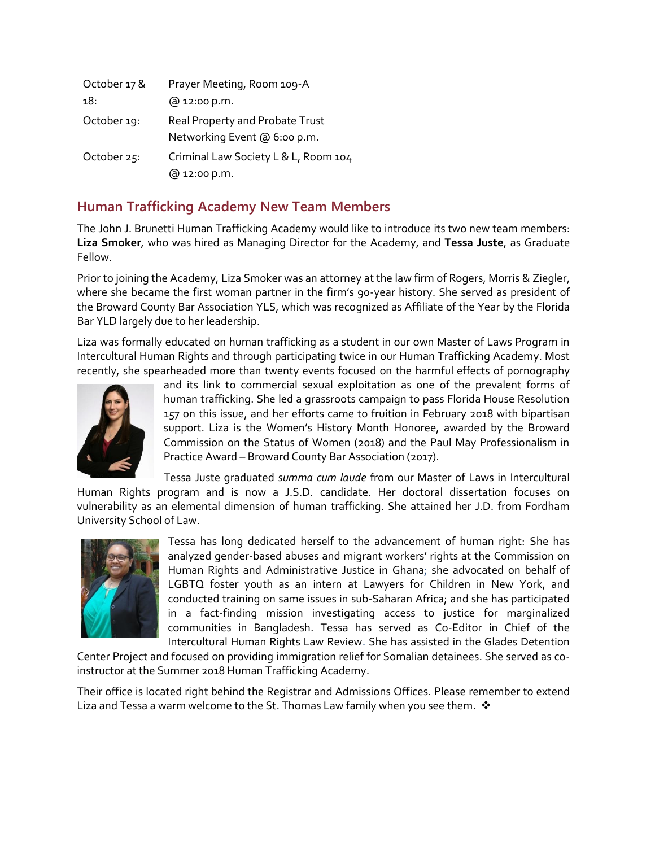| October 17 & | Prayer Meeting, Room 109-A                                      |
|--------------|-----------------------------------------------------------------|
| 18.          | @ 12:00 p.m.                                                    |
| October 19:  | Real Property and Probate Trust<br>Networking Event @ 6:00 p.m. |
| October 25:  | Criminal Law Society L & L, Room 104<br>@ 12:00 p.m.            |

# **Human Trafficking Academy New Team Members**

The John J. Brunetti Human Trafficking Academy would like to introduce its two new team members: **Liza Smoker**, who was hired as Managing Director for the Academy, and **Tessa Juste**, as Graduate Fellow.

Prior to joining the Academy, Liza Smoker was an attorney at the law firm of Rogers, Morris & Ziegler, where she became the first woman partner in the firm's 90-year history. She served as president of the Broward County Bar Association YLS, which was recognized as Affiliate of the Year by the Florida Bar YLD largely due to her leadership.

Liza was formally educated on human trafficking as a student in our own Master of Laws Program in Intercultural Human Rights and through participating twice in our Human Trafficking Academy. Most recently, she spearheaded more than twenty events focused on the harmful effects of pornography



and its link to commercial sexual exploitation as one of the prevalent forms of human trafficking. She led a grassroots campaign to pass Florida House Resolution 157 on this issue, and her efforts came to fruition in February 2018 with bipartisan support. Liza is the Women's History Month Honoree, awarded by the Broward Commission on the Status of Women (2018) and the Paul May Professionalism in Practice Award – Broward County Bar Association (2017).

Tessa Juste graduated *summa cum laude* from our Master of Laws in Intercultural

Human Rights program and is now a J.S.D. candidate. Her doctoral dissertation focuses on vulnerability as an elemental dimension of human trafficking. She attained her J.D. from Fordham University School of Law.



Tessa has long dedicated herself to the advancement of human right: She has analyzed gender-based abuses and migrant workers' rights at the Commission on Human Rights and Administrative Justice in Ghana; she advocated on behalf of LGBTQ foster youth as an intern at Lawyers for Children in New York, and conducted training on same issues in sub-Saharan Africa; and she has participated in a fact-finding mission investigating access to justice for marginalized communities in Bangladesh. Tessa has served as Co-Editor in Chief of the Intercultural Human Rights Law Review. She has assisted in the Glades Detention

Center Project and focused on providing immigration relief for Somalian detainees. She served as coinstructor at the Summer 2018 Human Trafficking Academy.

Their office is located right behind the Registrar and Admissions Offices. Please remember to extend Liza and Tessa a warm welcome to the St. Thomas Law family when you see them.  $\cdot$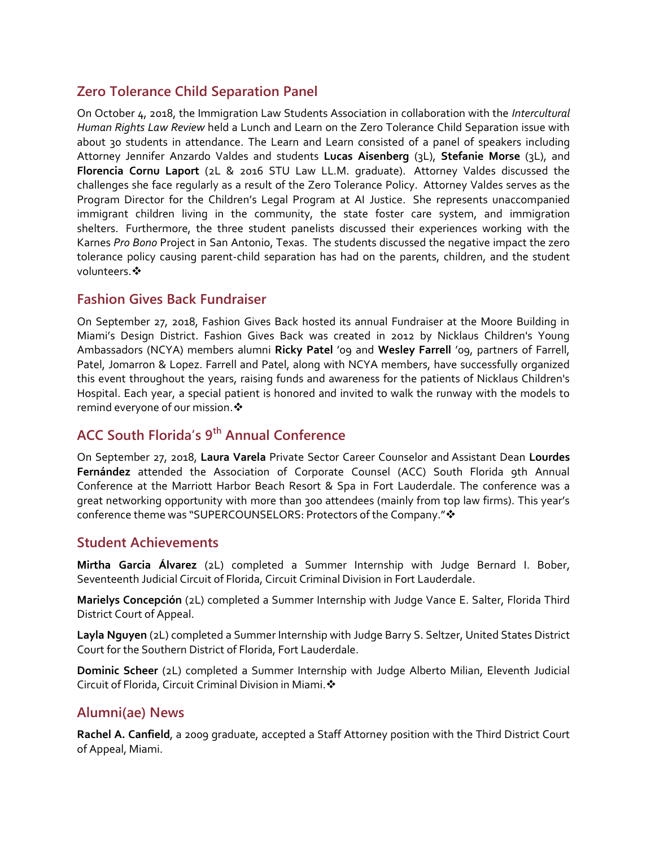# **Zero Tolerance Child Separation Panel**

On October 4, 2018, the Immigration Law Students Association in collaboration with the *Intercultural Human Rights Law Review* held a Lunch and Learn on the Zero Tolerance Child Separation issue with about 30 students in attendance. The Learn and Learn consisted of a panel of speakers including Attorney Jennifer Anzardo Valdes and students **Lucas Aisenberg** (3L), **Stefanie Morse** (3L), and **Florencia Cornu Laport** (2L & 2016 STU Law LL.M. graduate). Attorney Valdes discussed the challenges she face regularly as a result of the Zero Tolerance Policy. Attorney Valdes serves as the Program Director for the Children's Legal Program at AI Justice. She represents unaccompanied immigrant children living in the community, the state foster care system, and immigration shelters. Furthermore, the three student panelists discussed their experiences working with the Karnes *Pro Bono* Project in San Antonio, Texas. The students discussed the negative impact the zero tolerance policy causing parent-child separation has had on the parents, children, and the student volunteers. ❖

### **Fashion Gives Back Fundraiser**

On September 27, 2018, Fashion Gives Back hosted its annual Fundraiser at the Moore Building in Miami's Design District. Fashion Gives Back was created in 2012 by Nicklaus Children's Young Ambassadors (NCYA) members alumni **Ricky Patel** '09 and **Wesley Farrell** '09, partners of Farrell, Patel, Jomarron & Lopez. Farrell and Patel, along with NCYA members, have successfully organized this event throughout the years, raising funds and awareness for the patients of Nicklaus Children's Hospital. Each year, a special patient is honored and invited to walk the runway with the models to remind everyone of our mission. ❖

# **ACC South Florida's 9th Annual Conference**

On September 27, 2018, **Laura Varela** Private Sector Career Counselor and Assistant Dean **Lourdes Fernández** attended the Association of Corporate Counsel (ACC) South Florida 9th Annual Conference at the Marriott Harbor Beach Resort & Spa in Fort Lauderdale. The conference was a great networking opportunity with more than 300 attendees (mainly from top law firms). This year's conference theme was "SUPERCOUNSELORS: Protectors of the Company." \*

### **Student Achievements**

**Mirtha Garcia Álvarez** (2L) completed a Summer Internship with Judge Bernard I. Bober, Seventeenth Judicial Circuit of Florida, Circuit Criminal Division in Fort Lauderdale.

**Marielys Concepción** (2L) completed a Summer Internship with Judge Vance E. Salter, Florida Third District Court of Appeal.

**Layla Nguyen** (2L) completed a Summer Internship with Judge Barry S. Seltzer, United States District Court for the Southern District of Florida, Fort Lauderdale.

**Dominic Scheer** (2L) completed a Summer Internship with Judge Alberto Milian, Eleventh Judicial Circuit of Florida, Circuit Criminal Division in Miami.

### **Alumni(ae) News**

**Rachel A. Canfield**, a 2009 graduate, accepted a Staff Attorney position with the Third District Court of Appeal, Miami.